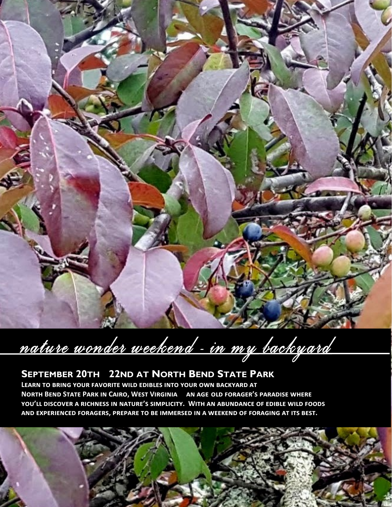

nature wonder weekend - in my backyard

# **SEPTEMBER 20TH - 22ND AT NORTH BEND STATE PARK**

**Learn to bring your favorite wild edibles into your own backyard at North Bend State Park in Cairo, West Virginia— an age-old forager's paradise where you'll discover a richness in nature's simplicity. With an abundance of edible wild foods and experienced foragers, prepare to be immersed in a weekend of foraging at its best.**

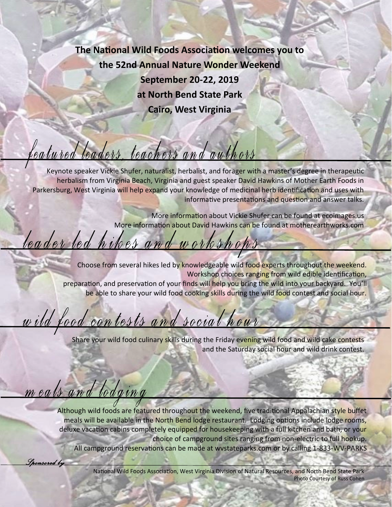**The National Wild Foods Association welcomes you to the 52nd Annual Nature Wonder Weekend September 20-22, 2019 at North Bend State Park Cairo, West Virginia**

# leatured leaders, teachers and authors

Keynote speaker Vickie Shufer, naturalist, herbalist, and forager with a master's degree in therapeutic herbalism from Virginia Beach, Virginia and guest speaker David Hawkins of Mother Earth Foods in Parkersburg, West Virginia will help expand your knowledge of medicinal herb identification and uses with informative presentations and question and answer talks.

> More information about Vickie Shufer can be found at ecoimages.us More information about David Hawkins can be found at motherearthworks.com

# leader led hikes and workshops

Choose from several hikes led by knowledgeable wild food experts throughout the weekend. Workshop choices ranging from wild edible identification, preparation, and preservation of your finds will help you bring the wild into your backyard. You'll be able to share your wild food cooking skills during the wild food contest and social hour.

# wild food contests and social hour

Share your wild food culinary skills during the Friday evening wild food and wild cake contests and the Saturday social hour and wild drink contest.

meals and lodging

*Sponsored by* 

Although wild foods are featured throughout the weekend, five traditional Appalachian style buffet meals will be available in the North Bend lodge restaurant. Lodging options include lodge rooms, deluxe vacation cabins completely equipped for housekeeping with a full kitchen and bath, or your choice of campground sites ranging from non-electric to full hookup. All campground reservations can be made at wvstateparks.com or by calling 1-833-WV-PARKS

> National Wild Foods Association, West Virginia Division of Natural Resources, and North Bend State Park Photo Courtesy of Russ Cohen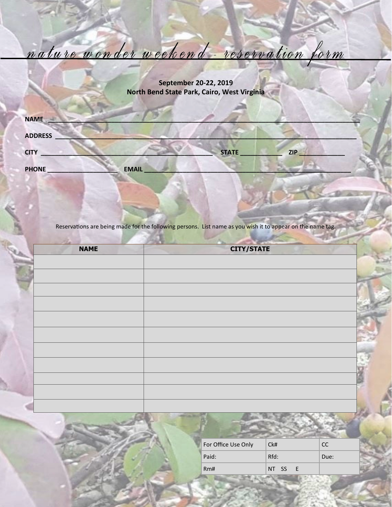nature wonder weekend - reservation form

**September 20-22, 2019 North Bend State Park, Cairo, West Virginia**

| <b>NAME</b>    |              |              |            |
|----------------|--------------|--------------|------------|
| <b>ADDRESS</b> |              |              |            |
| <b>CITY</b>    |              | <b>STATE</b> | <b>ZIP</b> |
| <b>PHONE</b>   | <b>EMAIL</b> |              |            |

Reservations are being made for the following persons. List name as you wish it to appear on the name tag.

| <b>NAME</b> | <b>CITY/STATE</b> |  |
|-------------|-------------------|--|
|             |                   |  |
|             |                   |  |
|             |                   |  |
|             |                   |  |
|             |                   |  |
|             |                   |  |
|             |                   |  |
|             |                   |  |
|             |                   |  |
|             |                   |  |
|             |                   |  |
|             |                   |  |

| For Office Use Only | Ck#   |     | CC.  |  |
|---------------------|-------|-----|------|--|
| Paid:               | Rfd:  |     | Due: |  |
| Rm#                 | NT SS | - F |      |  |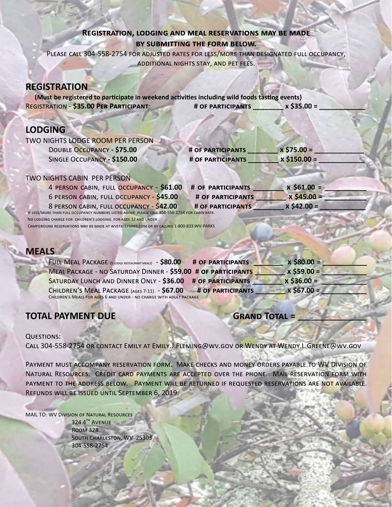## **Registration, lodging and meal reservations may be made by submitting the form below.**

Please call 304-558-2754 for adjusted rates for less/more than designated full occupancy, additional nights stay, and pet fees.

## **REGISTRATION**

**(Must be registered to participate in weekend activities including wild foods tasting events)**<br>**GISTRATION - \$35.00 PER PARTICIPANT:** # OF PARTICIPANTS x \$35.00 = REGISTRATION - \$35.00 PER PARTICIPANT: # OF PARTICIPANTS

# **LODGING**

| TWO NIGHTS LODGE ROOM PER PERSON                          |                          |                |  |
|-----------------------------------------------------------|--------------------------|----------------|--|
| DOUBLE OCCUPANCY - \$75.00                                | <b># OF PARTICIPANTS</b> | $x $75.00 =$   |  |
| SINGLE OCCUPANCY - \$150.00                               | <b># OF PARTICIPANTS</b> | $x$ \$150.00 = |  |
| TWO NIGHTS CABIN PER PERSON                               |                          |                |  |
| 4 PERSON CARIN FULL OCCUPANCY - \$61 00 # OF PARTICIPANTS |                          | $x$ \$61 00 =  |  |

| 4 PERSON CABIN, FULL OCCUPANCY - \$61.00 # OF PARTICIPANTS                                     |                   | $x$ \$61.00 = |
|------------------------------------------------------------------------------------------------|-------------------|---------------|
| 6 PERSON CABIN, FULL OCCUPANCY - \$45.00                                                       | # OF PARTICIPANTS | $x$ \$45.00 = |
| 8 PERSON CABIN, FULL OCCUPANCY - \$42.00                                                       | # OF PARTICIPANTS | $x$ \$42.00 = |
| IF LESS/MORE THAN FULL OCCUPANCY NUMBERS LISTED ABOVE PLEASE CALL 304-558-2754 FOR CABIN RATE. |                   |               |
| NO LODGING CHARGE FOR CHILDREN'S LODGING FOR AGES 12 AND UNDER.                                |                   |               |

Campground reservations may be made at wvstateparks.com or by calling 1-800-833-WV-PARKS

# **MEALS**

| FULL MEAL PACKAGE (5 LODGE RESTAURANT MEALS) - \$80.00<br># OF PARTICIPANTS | $x$ \$80.00 = |
|-----------------------------------------------------------------------------|---------------|
| MEAL PACKAGE - NO SATURDAY DINNER - \$59.00 # OF PARTICIPANTS               | $x$ \$59.00 = |
| SATURDAY LUNCH AND DINNER ONLY - \$36.00<br># OF PARTICIPANTS               | $x$ \$36.00 = |
| CHILDREN'S MEAL PACKAGE (AGES 7-11) - \$67.00<br><b># OF PARTICIPANTS</b>   | $x $67.00 =$  |
| CHILDREN'S MEALS FOR AGES 6 AND UNDER - NO CHARGE WITH ADULT PACKAGE        |               |

# **TOTAL PAYMENT DUE GRAND TOTAL =**

## Questions:

Call 304-558-2754 or contact Emily at Emily.J.Fleming@wv.gov or Wendy at Wendy.L.Greene@wv.gov

Payment must accompany reservation form. Make checks and money orders payable to WV Division of Natural Resources. Credit card payments are accepted over the phone. Mail reservation form with payment to the address below. Payment will be returned if requested reservations are not available. Refunds will be issued until September 6, 2019.

MAIL TO: WV Division of Natural Resources 324 4TH AVENUE Room 328 South Charleston, WV 25303 304-558-2754